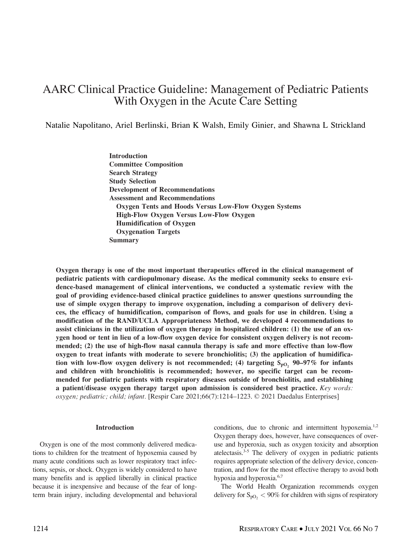# AARC Clinical Practice Guideline: Management of Pediatric Patients With Oxygen in the Acute Care Setting

Natalie Napolitano, Ariel Berlinski, Brian K Walsh, Emily Ginier, and Shawna L Strickland

Introduction Committee Composition Search Strategy Study Selection Development of Recommendations Assessment and Recommendations Oxygen Tents and Hoods Versus Low-Flow Oxygen Systems High-Flow Oxygen Versus Low-Flow Oxygen Humidification of Oxygen Oxygenation Targets Summary

Oxygen therapy is one of the most important therapeutics offered in the clinical management of pediatric patients with cardiopulmonary disease. As the medical community seeks to ensure evidence-based management of clinical interventions, we conducted a systematic review with the goal of providing evidence-based clinical practice guidelines to answer questions surrounding the use of simple oxygen therapy to improve oxygenation, including a comparison of delivery devices, the efficacy of humidification, comparison of flows, and goals for use in children. Using a modification of the RAND/UCLA Appropriateness Method, we developed 4 recommendations to assist clinicians in the utilization of oxygen therapy in hospitalized children: (1) the use of an oxygen hood or tent in lieu of a low-flow oxygen device for consistent oxygen delivery is not recommended; (2) the use of high-flow nasal cannula therapy is safe and more effective than low-flow oxygen to treat infants with moderate to severe bronchiolitis; (3) the application of humidification with low-flow oxygen delivery is not recommended; (4) targeting  $S_{pQ}$ , 90–97% for infants and children with bronchiolitis is recommended; however, no specific target can be recommended for pediatric patients with respiratory diseases outside of bronchiolitis, and establishing a patient/disease oxygen therapy target upon admission is considered best practice.  $Key words:$ oxygen; pediatric; child; infant. [Respir Care 2021;66(7):1214–1223. © 2021 Daedalus Enterprises]

#### Introduction

Oxygen is one of the most commonly delivered medications to children for the treatment of hypoxemia caused by many acute conditions such as lower respiratory tract infections, sepsis, or shock. Oxygen is widely considered to have many benefits and is applied liberally in clinical practice because it is inexpensive and because of the fear of longterm brain injury, including developmental and behavioral conditions, due to chronic and intermittent hypoxemia.<sup>1,2</sup> Oxygen therapy does, however, have consequences of overuse and hyperoxia, such as oxygen toxicity and absorption atelectasis.3-5 The delivery of oxygen in pediatric patients requires appropriate selection of the delivery device, concentration, and flow for the most effective therapy to avoid both hypoxia and hyperoxia.<sup>6,7</sup>

The World Health Organization recommends oxygen delivery for  $S_{pO_2}$  < 90% for children with signs of respiratory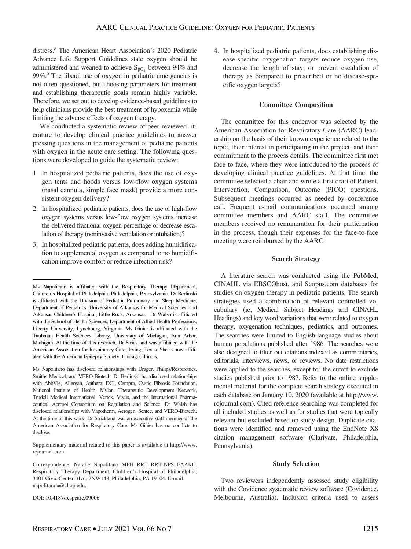distress.8 The American Heart Association's 2020 Pediatric Advance Life Support Guidelines state oxygen should be administered and weaned to achieve  $S_{pQ}$ , between 94% and 99%.<sup>9</sup> The liberal use of oxygen in pediatric emergencies is not often questioned, but choosing parameters for treatment and establishing therapeutic goals remain highly variable. Therefore, we set out to develop evidence-based guidelines to help clinicians provide the best treatment of hypoxemia while limiting the adverse effects of oxygen therapy.

We conducted a systematic review of peer-reviewed literature to develop clinical practice guidelines to answer pressing questions in the management of pediatric patients with oxygen in the acute care setting. The following questions were developed to guide the systematic review:

- 1. In hospitalized pediatric patients, does the use of oxygen tents and hoods versus low-flow oxygen systems (nasal cannula, simple face mask) provide a more consistent oxygen delivery?
- 2. In hospitalized pediatric patients, does the use of high-flow oxygen systems versus low-flow oxygen systems increase the delivered fractional oxygen percentage or decrease escalation of therapy (noninvasive ventilation or intubation)?
- 3. In hospitalized pediatric patients, does adding humidification to supplemental oxygen as compared to no humidification improve comfort or reduce infection risk?

Supplementary material related to this paper is available at [http://www.](http://www.rcjournal.com) [rcjournal.com](http://www.rcjournal.com).

DOI: 10.4187/respcare.09006

4. In hospitalized pediatric patients, does establishing disease-specific oxygenation targets reduce oxygen use, decrease the length of stay, or prevent escalation of therapy as compared to prescribed or no disease-specific oxygen targets?

#### Committee Composition

The committee for this endeavor was selected by the American Association for Respiratory Care (AARC) leadership on the basis of their known experience related to the topic, their interest in participating in the project, and their commitment to the process details. The committee first met face-to-face, where they were introduced to the process of developing clinical practice guidelines. At that time, the committee selected a chair and wrote a first draft of Patient, Intervention, Comparison, Outcome (PICO) questions. Subsequent meetings occurred as needed by conference call. Frequent e-mail communications occurred among committee members and AARC staff. The committee members received no remuneration for their participation in the process, though their expenses for the face-to-face meeting were reimbursed by the AARC.

#### Search Strategy

A literature search was conducted using the PubMed, CINAHL via EBSCOhost, and Scopus.com databases for studies on oxygen therapy in pediatric patients. The search strategies used a combination of relevant controlled vocabulary (ie, Medical Subject Headings and CINAHL Headings) and key word variations that were related to oxygen therapy, oxygenation techniques, pediatrics, and outcomes. The searches were limited to English-language studies about human populations published after 1986. The searches were also designed to filter out citations indexed as commentaries, editorials, interviews, news, or reviews. No date restrictions were applied to the searches, except for the cutoff to exclude studies published prior to 1987. Refer to the online supplemental material for the complete search strategy executed in each database on January 10, 2020 (available at [http://www.](http://www.rcjournal.com) [rcjournal.com](http://www.rcjournal.com)). Cited reference searching was completed for all included studies as well as for studies that were topically relevant but excluded based on study design. Duplicate citations were identified and removed using the EndNote X8 citation management software (Clarivate, Philadelphia, Pennsylvania).

#### Study Selection

Two reviewers independently assessed study eligibility with the Covidence systematic review software (Covidence, Melbourne, Australia). Inclusion criteria used to assess

Ms Napolitano is affiliated with the Respiratory Therapy Department, Children's Hospital of Philadelphia, Philadelphia, Pennsylvania. Dr Berlinski is affiliated with the Division of Pediatric Pulmonary and Sleep Medicine, Department of Pediatrics, University of Arkansas for Medical Sciences, and Arkansas Children's Hospital, Little Rock, Arkansas. Dr Walsh is affiliated with the School of Health Sciences, Department of Allied Health Professions, Liberty University, Lynchburg, Virginia. Ms Ginier is affiliated with the Taubman Health Sciences Library, University of Michigan, Ann Arbor, Michigan. At the time of this research, Dr Strickland was affiliated with the American Association for Respiratory Care, Irving, Texas. She is now affiliated with the American Epilepsy Society, Chicago, Illinois.

Ms Napolitano has disclosed relationships with Drager, Philips/Respironics, Smiths Medical, and VERO-Biotech. Dr Berlinski has disclosed relationships with AbbVie, Allergan, Anthera, DCI, Cempra, Cystic Fibrosis Foundation, National Institute of Health, Mylan, Therapeutic Development Network, Trudell Medical International, Vertex, Vivus, and the International Pharmaceutical Aerosol Consortium on Regulation and Science. Dr Walsh has disclosed relationships with Vapotherm, Aerogen, Sentec, and VERO-Biotech. At the time of this work, Dr Strickland was an executive staff member of the American Association for Respiratory Care. Ms Ginier has no conflicts to disclose.

Correspondence: Natalie Napolitano MPH RRT RRT-NPS FAARC, Respiratory Therapy Department, Children's Hospital of Philadelphia, 3401 Civic Center Blvd, 7NW148, Philadelphia, PA 19104. E-mail: [napolitanon@chop.edu.](mailto:napolitanon@chop.edu)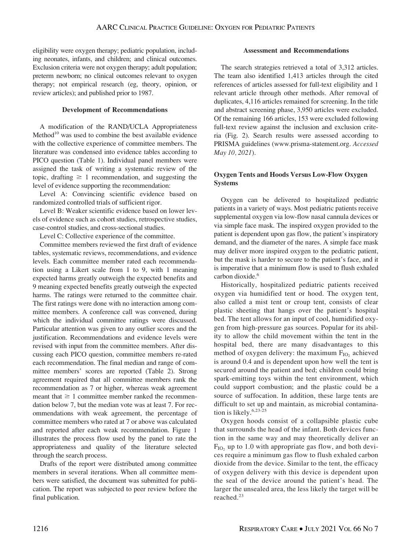eligibility were oxygen therapy; pediatric population, including neonates, infants, and children; and clinical outcomes. Exclusion criteria were not oxygen therapy; adult population; preterm newborn; no clinical outcomes relevant to oxygen therapy; not empirical research (eg, theory, opinion, or review articles); and published prior to 1987.

## Development of Recommendations

A modification of the RAND/UCLA Appropriateness  $Method<sup>10</sup>$  was used to combine the best available evidence with the collective experience of committee members. The literature was condensed into evidence tables according to PICO question (Table 1). Individual panel members were assigned the task of writing a systematic review of the topic, drafting  $\geq 1$  recommendation, and suggesting the level of evidence supporting the recommendation:

Level A: Convincing scientific evidence based on randomized controlled trials of sufficient rigor.

Level B: Weaker scientific evidence based on lower levels of evidence such as cohort studies, retrospective studies, case-control studies, and cross-sectional studies.

Level C: Collective experience of the committee.

Committee members reviewed the first draft of evidence tables, systematic reviews, recommendations, and evidence levels. Each committee member rated each recommendation using a Likert scale from 1 to 9, with 1 meaning expected harms greatly outweigh the expected benefits and 9 meaning expected benefits greatly outweigh the expected harms. The ratings were returned to the committee chair. The first ratings were done with no interaction among committee members. A conference call was convened, during which the individual committee ratings were discussed. Particular attention was given to any outlier scores and the justification. Recommendations and evidence levels were revised with input from the committee members. After discussing each PICO question, committee members re-rated each recommendation. The final median and range of committee members' scores are reported (Table 2). Strong agreement required that all committee members rank the recommendation as 7 or higher, whereas weak agreement meant that  $\geq 1$  committee member ranked the recommendation below 7, but the median vote was at least 7. For recommendations with weak agreement, the percentage of committee members who rated at 7 or above was calculated and reported after each weak recommendation. Figure 1 illustrates the process flow used by the panel to rate the appropriateness and quality of the literature selected through the search process.

Drafts of the report were distributed among committee members in several iterations. When all committee members were satisfied, the document was submitted for publication. The report was subjected to peer review before the final publication.

## Assessment and Recommendations

The search strategies retrieved a total of 3,312 articles. The team also identified 1,413 articles through the cited references of articles assessed for full-text eligibility and 1 relevant article through other methods. After removal of duplicates, 4,116 articles remained for screening. In the title and abstract screening phase, 3,950 articles were excluded. Of the remaining 166 articles, 153 were excluded following full-text review against the inclusion and exclusion criteria (Fig. 2). Search results were assessed according to PRISMA guidelines [\(www.prisma-statement.org](http://www.prisma-statement.org). Accessed May 10, 2021).

## Oxygen Tents and Hoods Versus Low-Flow Oxygen Systems

Oxygen can be delivered to hospitalized pediatric patients in a variety of ways. Most pediatric patients receive supplemental oxygen via low-flow nasal cannula devices or via simple face mask. The inspired oxygen provided to the patient is dependent upon gas flow, the patient's inspiratory demand, and the diameter of the nares. A simple face mask may deliver more inspired oxygen to the pediatric patient, but the mask is harder to secure to the patient's face, and it is imperative that a minimum flow is used to flush exhaled carbon dioxide.<sup>6</sup>

Historically, hospitalized pediatric patients received oxygen via humidified tent or hood. The oxygen tent, also called a mist tent or croup tent, consists of clear plastic sheeting that hangs over the patient's hospital bed. The tent allows for an input of cool, humidified oxygen from high-pressure gas sources. Popular for its ability to allow the child movement within the tent in the hospital bed, there are many disadvantages to this method of oxygen delivery: the maximum  $F_{IO}$ , achieved is around 0.4 and is dependent upon how well the tent is secured around the patient and bed; children could bring spark-emitting toys within the tent environment, which could support combustion; and the plastic could be a source of suffocation. In addition, these large tents are difficult to set up and maintain, as microbial contamination is likely.<sup>6,23-25</sup>

Oxygen hoods consist of a collapsible plastic cube that surrounds the head of the infant. Both devices function in the same way and may theoretically deliver an  $F_{IO}$ , up to 1.0 with appropriate gas flow, and both devices require a minimum gas flow to flush exhaled carbon dioxide from the device. Similar to the tent, the efficacy of oxygen delivery with this device is dependent upon the seal of the device around the patient's head. The larger the unsealed area, the less likely the target will be reached.<sup>23</sup>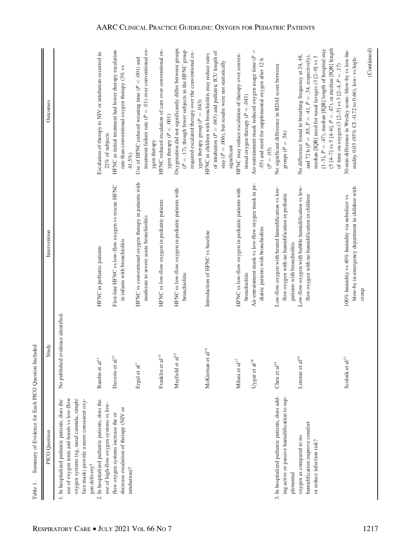| PICO Question                                                                                                                                                                                           | Study                                | Intervention                                                                                                                         | Outcomes                                                                                                                                                                                                                                                                                                                                                          |
|---------------------------------------------------------------------------------------------------------------------------------------------------------------------------------------------------------|--------------------------------------|--------------------------------------------------------------------------------------------------------------------------------------|-------------------------------------------------------------------------------------------------------------------------------------------------------------------------------------------------------------------------------------------------------------------------------------------------------------------------------------------------------------------|
| use of oxygen tents and hoods vs low-flow<br>oxygen systems (eg, nasal cannula, simple<br>face mask) provide a more consistent oxy-<br>1. In hospitalized pediatric patients, does the<br>gen delivery? | evidence identified.<br>No published |                                                                                                                                      |                                                                                                                                                                                                                                                                                                                                                                   |
| 2. In hospitalized pediatric patients, does the<br>use of high-flow oxygen systems vs low-                                                                                                              | Baudin et al <sup>11</sup>           | HFNC in pediatric patients                                                                                                           | Escalation of therapy to NIV or intubation occurred in<br>22% of subjects                                                                                                                                                                                                                                                                                         |
| decrease escalation of therapy (NIV or<br>flow oxygen systems increase the or                                                                                                                           | $\overline{c}$<br>Daverio et al      | First-line HFNC vs low-flow oxygen vs rescue HFNC<br>in infants with bronchiolitis                                                   | HFNC as initial treatment had lower therapy escalation<br>rate than conventional oxygen therapy $(3\%$ vs                                                                                                                                                                                                                                                         |
| intubation)?                                                                                                                                                                                            | Ergul et al <sup>3</sup>             | HFNC vs conventional oxygen therapy in patients with<br>moderate to severe acute bronchiolitis                                       | treatment failure rate ( $P = .01$ ) over conventional ox-<br>Use of HFNC reduced weaning time ( $P < .001$ ) and<br>41.5%)                                                                                                                                                                                                                                       |
|                                                                                                                                                                                                         | Franklin et al $^{14}$               | HFNC vs low-flow oxygen in pediatric patients                                                                                        | HFNC reduced escalation of care over conventional ox-<br>ygen therapy                                                                                                                                                                                                                                                                                             |
|                                                                                                                                                                                                         | Mayfield et al <sup>15</sup>         | HFNC vs low-flow oxygen in pediatric patients with<br>bronchiolitis                                                                  | Oxygenation did not significantly differ between groups<br>$(P = .17)$ , though fewer subjects in the HFNC group<br>ygen therapy ( $P < .001$ )                                                                                                                                                                                                                   |
|                                                                                                                                                                                                         | $\,$ all<br>6 $\,$<br>McKiernan et   | Introduction of HFNC vs baseline                                                                                                     | of intubation ( $P = .043$ ) and pediatric ICU length of<br>required escalated therapy over the conventional ox-<br>HFNC in children with bronchiolitis may reduce rates<br>stay ( $P = .006$ ), but results were not statistically<br>ygen therapy group ( $P = .043$ )                                                                                          |
|                                                                                                                                                                                                         | Milani et al $^{17}$                 | HFNC vs low-flow oxygen in pediatric patients with                                                                                   | HFNC may reduce escalation of therapy over conven-<br>significant                                                                                                                                                                                                                                                                                                 |
|                                                                                                                                                                                                         | Uygur et al $^{\rm 18}$              | Air-entrainment mask vs low-flow oxygen mask in pe-<br>diatric patients with bronchiolitis<br>bronchiolitis                          | Air-entrainment mask reduced oxygen usage time ( $P =$<br>.03) and need for supplemental oxygen after 12 h<br>tional oxygen therapy ( $P = .043$ )<br>$(P=.03)$                                                                                                                                                                                                   |
| 3. In hospitalized pediatric patients, does add-<br>ing active or passive humidification to sup-<br>plemental                                                                                           | Chen et al $^{19}$                   | Low-flow oxygen with heated humidification vs low-<br>flow oxygen with no humidification in pediatric<br>patients with bronchiolitis | No significant difference in RDAI score between<br>groups ( $P = .56$ )                                                                                                                                                                                                                                                                                           |
| humidification improve comfort<br>oxygen as compared to no<br>or reduce infection risk?                                                                                                                 | Lorente et al $^{20}$                | Low-flow oxygen with bubble humidification vs low-<br>flow oxygen with no humidification in children                                 | $(5 [4-7] \text{ vs } 5 [4-6], P = .47)$ , or median [IQR] length<br>[1-5], $P = .47$ ), median [IQR] length of hospital stay<br>No difference found in breathing frequency at 24, 48,<br>and 72 h ( $P = .85$ , $P = .41$ , $P = .34$ , respectively),<br>median [IQR] need for nasal lavages (3 [2-9] vs 3<br>of time on oxygen (3 [2-5] vs 3 [2-4, $P = .17$ ) |
|                                                                                                                                                                                                         | Scolnik et al <sup>2</sup>           | blow-by in emergency department in children with<br>100% humidity vs 40% humidity via nebulizer vs<br>croup                          | (Continued)<br>30-min difference in Wesley score: blow-by vs low-hu-<br>midity 0.03 (95% CI -0.72 to 0.66), low-vs high-                                                                                                                                                                                                                                          |

 $\parallel$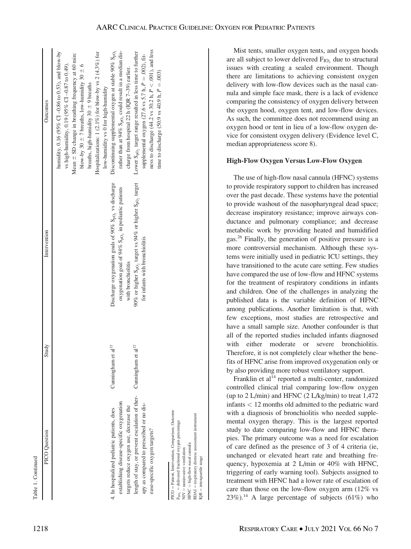| PICO Question                                                                                                                                                                                                                      | Study                          | Intervention                                                                                                                                   | Outcomes                                                                                                                                                                                                                                                                                                                                                            |
|------------------------------------------------------------------------------------------------------------------------------------------------------------------------------------------------------------------------------------|--------------------------------|------------------------------------------------------------------------------------------------------------------------------------------------|---------------------------------------------------------------------------------------------------------------------------------------------------------------------------------------------------------------------------------------------------------------------------------------------------------------------------------------------------------------------|
|                                                                                                                                                                                                                                    |                                |                                                                                                                                                | humidity, 0.16 (95% CI -0.86 to 0.53), and blow-by<br>Hospitalizations: 1 (2.1%) for blow-by vs 2 (4.3%) for<br>Mean $\pm$ SD change in breathing frequency at 60 min:<br>vs high-humidity, 0.19 (95% CI -0.87 to 0.49).<br>blow-by 30 $\pm$ 7 breaths, low-humidity 30 $\pm$ 6<br>breaths, high-humidity $30 \pm 9$ breaths<br>low-humidity vs 0 for high-humidity |
| establishing disease-specific oxygenation<br>targets reduce oxygen use, decrease the<br>4. In hospitalized pediatric patients, does                                                                                                | Cunningham et al <sup>22</sup> | Discharge oxygenation goals of 90% S <sub>pO2</sub> vs discharge<br>oxygenation goal of 94% $SpO2$ in pediatric patients<br>with bronchiolitis | Discontinuing supplemental oxygen at stable 90% $S_{pO_2}$<br>rather than at 94% S <sub>pO</sub> , could result in a median dis-<br>charge from hospital 22 h (IQR 7-39) earlier.                                                                                                                                                                                   |
| length of stay, or prevent escalation of ther-<br>apy as compared to prescribed or no dis-<br>ease-specific oxygen targets?                                                                                                        | Cunningham et al <sup>22</sup> | 90% or higher S <sub>pO</sub> , target vs 94% or higher S <sub>pO<sub>2</sub> target</sub><br>for infants with bronchiolitis                   | ness to discharge (44.2 vs 30.2 h, $P < .001$ ), and less<br>Lower S <sub>pO</sub> , target range resulted in less time to further<br>supplemental oxygen (27.6 vs 5.7 h, $P = .002$ ), fit-<br>time to discharge (50.9 vs 40.9 h, $P = .003$ )                                                                                                                     |
| PICO = Patient, Intervention, Comparison, Outcome<br>RDAI = respiratory distress assessment instrument<br>$F_{DO_2} =$ delivered fractional oxygen percentage<br>HFNC = high-flow nasal cannula<br>$NIV = noninvasive$ ventilation |                                |                                                                                                                                                |                                                                                                                                                                                                                                                                                                                                                                     |

 $IQR =$  interquartile range

nterquartile

range

Mist tents, smaller oxygen tents, and oxygen hoods are all subject to lower delivered  $F_{IO_2}$  due to structural issues with creating a sealed environment. Though there are limitations to achieving consistent oxygen delivery with low-flow devices such as the nasal cannula and simple face mask, there is a lack of evidence comparing the consistency of oxygen delivery between the oxygen hood, oxygen tent, and low-flow devices. As such, the committee does not recommend using an oxygen hood or tent in lieu of a low-flow oxygen device for consistent oxygen delivery (Evidence level C, median appropriateness score 8).

## High-Flow Oxygen Versus Low-Flow Oxygen

The use of high-flow nasal cannula (HFNC) systems to provide respiratory support to children has increased over the past decade. These systems have the potential to provide washout of the nasopharyngeal dead space; decrease inspiratory resistance; improve airways conductance and pulmonary compliance; and decrease metabolic work by providing heated and humidified gas.26 Finally, the generation of positive pressure is a more controversial mechanism. Although these systems were initially used in pediatric ICU settings, they have transitioned to the acute care setting. Few studies have compared the use of low-flow and HFNC systems for the treatment of respiratory conditions in infants and children. One of the challenges in analyzing the published data is the variable definition of HFNC among publications. Another limitation is that, with few exceptions, most studies are retrospective and have a small sample size. Another confounder is that all of the reported studies included infants diagnosed with either moderate or severe bronchiolitis. Therefore, it is not completely clear whether the benefits of HFNC arise from improved oxygenation only or by also providing more robust ventilatory support.

Franklin et al<sup>14</sup> reported a multi-center, randomized controlled clinical trial comparing low-flow oxygen (up to 2 L/min) and HFNC (2 L/kg/min) to treat 1,472 infants < 12 months old admitted to the pediatric ward with a diagnosis of bronchiolitis who needed supplemental oxygen therapy. This is the largest reported study to date comparing low-flow and HFNC therapies. The primary outcome was a need for escalation of care defined as the presence of 3 of 4 criteria (ie, unchanged or elevated heart rate and breathing frequency, hypoxemia at 2 L/min or 40% with HFNC, triggering of early warning tool). Subjects assigned to treatment with HFNC had a lower rate of escalation of care than those on the low-flow oxygen arm (12% vs  $23\%$ ).<sup>14</sup> A large percentage of subjects (61%) who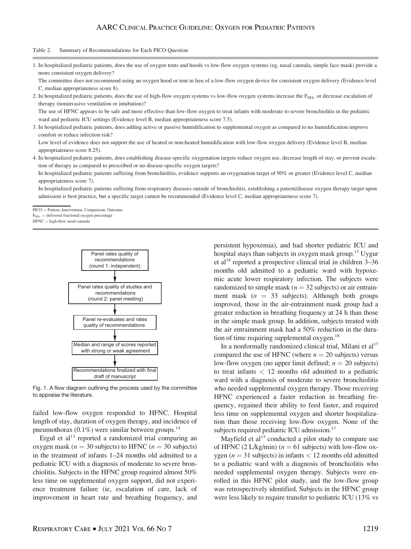## AARC CLINICAL PRACTICE GUIDELINE: OXYGEN FOR PEDIATRIC PATIENTS

#### Table 2. Summary of Recommendations for Each PICO Question

1. In hospitalized pediatric patients, does the use of oxygen tents and hoods vs low-flow oxygen systems (eg, nasal cannula, simple face mask) provide a more consistent oxygen delivery?

The committee does not recommend using an oxygen hood or tent in lieu of a low-flow oxygen device for consistent oxygen delivery (Evidence level C, median appropriateness score 8).

2. In hospitalized pediatric patients, does the use of high-flow oxygen systems vs low-flow oxygen systems increase the F<sub>DO</sub>, or decrease escalation of therapy (noninvasive ventilation or intubation)?

The use of HFNC appears to be safe and more effective than low-flow oxygen to treat infants with moderate to severe bronchiolitis in the pediatric ward and pediatric ICU settings (Evidence level B, median appropriateness score 7.5).

3. In hospitalized pediatric patients, does adding active or passive humidification to supplemental oxygen as compared to no humidification improve comfort or reduce infection risk?

Low level of evidence does not support the use of heated or non-heated humidification with low-flow oxygen delivery (Evidence level B, median appropriateness score 8.25).

4. In hospitalized pediatric patients, does establishing disease-specific oxygenation targets reduce oxygen use, decrease length of stay, or prevent escalation of therapy as compared to prescribed or no disease-specific oxygen targets?

In hospitalized pediatric patients suffering from bronchiolitis, evidence supports an oxygenation target of 90% or greater (Evidence level C, median appropriateness score 7).

In hospitalized pediatric patients suffering from respiratory diseases outside of bronchiolitis, establishing a patient/disease oxygen therapy target upon admission is best practice, but a specific target cannot be recommended (Evidence level C, median appropriateness score 7).

PICO = Patient, Intervention, Comparison, Outcome

 $F<sub>DO</sub>$  = delivered fractional oxygen percentage

 $HFNC = high-flow$  nasal cannula



Fig. 1. A flow diagram outlining the process used by the committee to appraise the literature.

failed low-flow oxygen responded to HFNC. Hospital length of stay, duration of oxygen therapy, and incidence of pneumothorax  $(0.1\%)$  were similar between groups.<sup>14</sup>

Ergul et al $^{13}$  reported a randomized trial comparing an oxygen mask ( $n = 30$  subjects) to HFNC ( $n = 30$  subjects) in the treatment of infants 1–24 months old admitted to a pediatric ICU with a diagnosis of moderate to severe bronchiolitis. Subjects in the HFNC group required almost 50% less time on supplemental oxygen support, did not experience treatment failure (ie, escalation of care, lack of improvement in heart rate and breathing frequency, and

persistent hypoxemia), and had shorter pediatric ICU and hospital stays than subjects in oxygen mask group.<sup>13</sup> Uygur et al<sup>18</sup> reported a prospective clinical trial in children 3–36 months old admitted to a pediatric ward with hypoxemic acute lower respiratory infection. The subjects were randomized to simple mask ( $n = 32$  subjects) or air entrainment mask ( $n = 33$  subjects). Although both groups improved, those in the air-entrainment mask group had a greater reduction in breathing frequency at 24 h than those in the simple mask group. In addition, subjects treated with the air entrainment mask had a 50% reduction in the duration of time requiring supplemental oxygen.<sup>18</sup>

In a nonformally randomized clinical trial, Milani et  $al<sup>17</sup>$ compared the use of HFNC (where  $n = 20$  subjects) versus low-flow oxygen (no upper limit defined;  $n = 20$  subjects) to treat infants  $<$  12 months old admitted to a pediatric ward with a diagnosis of moderate to severe bronchiolitis who needed supplemental oxygen therapy. Those receiving HFNC experienced a faster reduction in breathing frequency, regained their ability to feed faster, and required less time on supplemental oxygen and shorter hospitalization than those receiving low-flow oxygen. None of the subjects required pediatric ICU admission.<sup>17</sup>

Mayfield et al<sup>15</sup> conducted a pilot study to compare use of HFNC (2 L/kg/min) ( $n = 61$  subjects) with low-flow oxygen ( $n = 31$  subjects) in infants  $< 12$  months old admitted to a pediatric ward with a diagnosis of bronchiolitis who needed supplemental oxygen therapy. Subjects were enrolled in this HFNC pilot study, and the low-flow group was retrospectively identified. Subjects in the HFNC group were less likely to require transfer to pediatric ICU (13% vs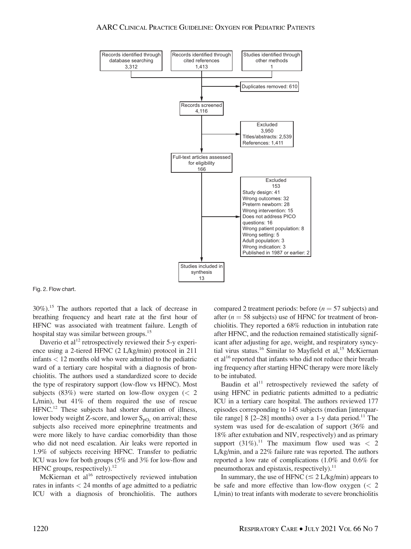#### AARC CLINICAL PRACTICE GUIDELINE: OXYGEN FOR PEDIATRIC PATIENTS



Fig. 2. Flow chart.

30%).15 The authors reported that a lack of decrease in breathing frequency and heart rate at the first hour of HFNC was associated with treatment failure. Length of hospital stay was similar between groups.<sup>15</sup>

Daverio et al<sup>12</sup> retrospectively reviewed their  $5$ -y experience using a 2-tiered HFNC (2 L/kg/min) protocol in 211 infants < 12 months old who were admitted to the pediatric ward of a tertiary care hospital with a diagnosis of bronchiolitis. The authors used a standardized score to decide the type of respiratory support (low-flow vs HFNC). Most subjects  $(83%)$  were started on low-flow oxygen  $(< 2$ L/min), but 41% of them required the use of rescue HFNC.<sup>12</sup> These subjects had shorter duration of illness, lower body weight Z-score, and lower  $S_{pO}$ , on arrival; these subjects also received more epinephrine treatments and were more likely to have cardiac comorbidity than those who did not need escalation. Air leaks were reported in 1.9% of subjects receiving HFNC. Transfer to pediatric ICU was low for both groups (5% and 3% for low-flow and HFNC groups, respectively). $^{12}$ 

McKiernan et al<sup>16</sup> retrospectively reviewed intubation rates in infants < 24 months of age admitted to a pediatric ICU with a diagnosis of bronchiolitis. The authors

compared 2 treatment periods: before  $(n = 57$  subjects) and after ( $n = 58$  subjects) use of HFNC for treatment of bronchiolitis. They reported a 68% reduction in intubation rate after HFNC, and the reduction remained statistically significant after adjusting for age, weight, and respiratory syncytial virus status.<sup>16</sup> Similar to Mayfield et al,<sup>15</sup> McKiernan et al<sup>16</sup> reported that infants who did not reduce their breathing frequency after starting HFNC therapy were more likely to be intubated.

Baudin et  $al<sup>11</sup>$  retrospectively reviewed the safety of using HFNC in pediatric patients admitted to a pediatric ICU in a tertiary care hospital. The authors reviewed 177 episodes corresponding to 145 subjects (median [interquartile range] 8  $[2-28]$  months) over a 1-y data period.<sup>11</sup> The system was used for de-escalation of support (36% and 18% after extubation and NIV, respectively) and as primary support  $(31\%)$ .<sup>11</sup> The maximum flow used was < 2 L/kg/min, and a 22% failure rate was reported. The authors reported a low rate of complications (1.0% and 0.6% for pneumothorax and epistaxis, respectively). $^{11}$ 

In summary, the use of HFNC ( $\leq 2$  L/kg/min) appears to be safe and more effective than low-flow oxygen  $\left($  < 2 L/min) to treat infants with moderate to severe bronchiolitis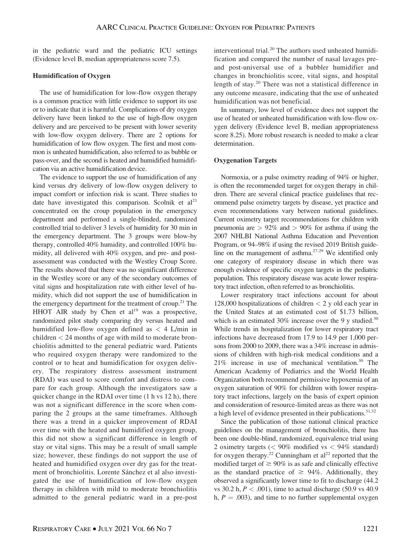in the pediatric ward and the pediatric ICU settings (Evidence level B, median appropriateness score 7.5).

### Humidification of Oxygen

The use of humidification for low-flow oxygen therapy is a common practice with little evidence to support its use or to indicate that it is harmful. Complications of dry oxygen delivery have been linked to the use of high-flow oxygen delivery and are perceived to be present with lower severity with low-flow oxygen delivery. There are 2 options for humidification of low flow oxygen. The first and most common is unheated humidification, also referred to as bubble or pass-over, and the second is heated and humidified humidification via an active humidification device.

The evidence to support the use of humidification of any kind versus dry delivery of low-flow oxygen delivery to impact comfort or infection risk is scant. Three studies to date have investigated this comparison. Scolnik et  $al<sup>21</sup>$ concentrated on the croup population in the emergency department and performed a single-blinded, randomized controlled trial to deliver 3 levels of humidity for 30 min in the emergency department. The 3 groups were blow-by therapy, controlled 40% humidity, and controlled 100% humidity, all delivered with 40% oxygen, and pre- and postassessment was conducted with the Westley Croup Score. The results showed that there was no significant difference in the Westley score or any of the secondary outcomes of vital signs and hospitalization rate with either level of humidity, which did not support the use of humidification in the emergency department for the treatment of croup.<sup>21</sup> The HHOT AIR study by Chen et  $al<sup>19</sup>$  was a prospective, randomized pilot study comparing dry versus heated and humidified low-flow oxygen defined as  $\langle 4 \rangle$  L/min in children < 24 months of age with mild to moderate bronchiolitis admitted to the general pediatric ward. Patients who required oxygen therapy were randomized to the control or to heat and humidification for oxygen delivery. The respiratory distress assessment instrument (RDAI) was used to score comfort and distress to compare for each group. Although the investigators saw a quicker change in the RDAI over time (1 h vs 12 h), there was not a significant difference in the score when comparing the 2 groups at the same timeframes. Although there was a trend in a quicker improvement of RDAI over time with the heated and humidified oxygen group, this did not show a significant difference in length of stay or vital signs. This may be a result of small sample size; however, these findings do not support the use of heated and humidified oxygen over dry gas for the treatment of bronchiolitis. Lorente Sánchez et al also investigated the use of humidification of low-flow oxygen therapy in children with mild to moderate bronchiolitis admitted to the general pediatric ward in a pre-post interventional trial.<sup>20</sup> The authors used unheated humidification and compared the number of nasal lavages preand post-universal use of a bubbler humidifier and changes in bronchiolitis score, vital signs, and hospital length of stay.<sup>20</sup> There was not a statistical difference in any outcome measure, indicating that the use of unheated humidification was not beneficial.

In summary, low level of evidence does not support the use of heated or unheated humidification with low-flow oxygen delivery (Evidence level B, median appropriateness score 8.25). More robust research is needed to make a clear determination.

### Oxygenation Targets

Normoxia, or a pulse oximetry reading of 94% or higher, is often the recommended target for oxygen therapy in children. There are several clinical practice guidelines that recommend pulse oximetry targets by disease, yet practice and even recommendations vary between national guidelines. Current oximetry target recommendations for children with pneumonia are  $> 92\%$  and  $> 90\%$  for asthma if using the 2007 NHLBI National Asthma Education and Prevention Program, or 94–98% if using the revised 2019 British guideline on the management of asthma.27-29 We identified only one category of respiratory disease in which there was enough evidence of specific oxygen targets in the pediatric population. This respiratory disease was acute lower respiratory tract infection, often referred to as bronchiolitis.

Lower respiratory tract infections account for about 128,000 hospitalizations of children  $<$  2 y old each year in the United States at an estimated cost of \$1.73 billion, which is an estimated 30% increase over the 9 y studied.<sup>30</sup> While trends in hospitalization for lower respiratory tract infections have decreased from 17.9 to 14.9 per 1,000 persons from 2000 to 2009, there was a 34% increase in admissions of children with high-risk medical conditions and a 21% increase in use of mechanical ventilation.30 The American Academy of Pediatrics and the World Health Organization both recommend permissive hypoxemia of an oxygen saturation of 90% for children with lower respiratory tract infections, largely on the basis of expert opinion and consideration of resource-limited areas as there was not a high level of evidence presented in their publications. $31,32$ 

Since the publication of those national clinical practice guidelines on the management of bronchiolitis, there has been one double-blind, randomized, equivalence trial using 2 oximetry targets  $\langle \, 90\% \text{ modified vs } \, 94\% \text{ standard} \, \rangle$ for oxygen therapy.<sup>22</sup> Cunningham et  $al^{22}$  reported that the modified target of  $\geq 90\%$  is as safe and clinically effective as the standard practice of  $\geq 94\%$ . Additionally, they observed a significantly lower time to fit to discharge (44.2 vs 30.2 h,  $P < .001$ ), time to actual discharge (50.9 vs 40.9) h,  $P = .003$ ), and time to no further supplemental oxygen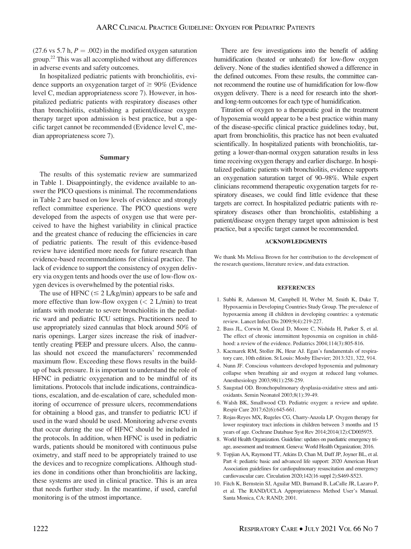(27.6 vs 5.7 h,  $P = .002$ ) in the modified oxygen saturation group.<sup>22</sup> This was all accomplished without any differences in adverse events and safety outcomes.

In hospitalized pediatric patients with bronchiolitis, evidence supports an oxygenation target of  $\geq 90\%$  (Evidence level C, median appropriateness score 7). However, in hospitalized pediatric patients with respiratory diseases other than bronchiolitis, establishing a patient/disease oxygen therapy target upon admission is best practice, but a specific target cannot be recommended (Evidence level C, median appropriateness score 7).

#### Summary

The results of this systematic review are summarized in Table 1. Disappointingly, the evidence available to answer the PICO questions is minimal. The recommendations in Table 2 are based on low levels of evidence and strongly reflect committee experience. The PICO questions were developed from the aspects of oxygen use that were perceived to have the highest variability in clinical practice and the greatest chance of reducing the efficiencies in care of pediatric patients. The result of this evidence-based review have identified more needs for future research than evidence-based recommendations for clinical practice. The lack of evidence to support the consistency of oxygen delivery via oxygen tents and hoods over the use of low-flow oxygen devices is overwhelmed by the potential risks.

The use of HFNC ( $\leq 2$  L/kg/min) appears to be safe and more effective than low-flow oxygen  $(< 2$  L/min) to treat infants with moderate to severe bronchiolitis in the pediatric ward and pediatric ICU settings. Practitioners need to use appropriately sized cannulas that block around 50% of naris openings. Larger sizes increase the risk of inadvertently creating PEEP and pressure ulcers. Also, the cannulas should not exceed the manufacturers' recommended maximum flow. Exceeding these flows results in the buildup of back pressure. It is important to understand the role of HFNC in pediatric oxygenation and to be mindful of its limitations. Protocols that include indications, contraindications, escalation, and de-escalation of care, scheduled monitoring of occurrence of pressure ulcers, recommendations for obtaining a blood gas, and transfer to pediatric ICU if used in the ward should be used. Monitoring adverse events that occur during the use of HFNC should be included in the protocols. In addition, when HFNC is used in pediatric wards, patients should be monitored with continuous pulse oximetry, and staff need to be appropriately trained to use the devices and to recognize complications. Although studies done in conditions other than bronchiolitis are lacking, these systems are used in clinical practice. This is an area that needs further study. In the meantime, if used, careful monitoring is of the utmost importance.

There are few investigations into the benefit of adding humidification (heated or unheated) for low-flow oxygen delivery. None of the studies identified showed a difference in the defined outcomes. From these results, the committee cannot recommend the routine use of humidification for low-flow oxygen delivery. There is a need for research into the shortand long-term outcomes for each type of humidification.

Titration of oxygen to a therapeutic goal in the treatment of hypoxemia would appear to be a best practice within many of the disease-specific clinical practice guidelines today, but, apart from bronchiolitis, this practice has not been evaluated scientifically. In hospitalized patients with bronchiolitis, targeting a lower-than-normal oxygen saturation results in less time receiving oxygen therapy and earlier discharge. In hospitalized pediatric patients with bronchiolitis, evidence supports an oxygenation saturation target of 90–98%. While expert clinicians recommend therapeutic oxygenation targets for respiratory diseases, we could find little evidence that these targets are correct. In hospitalized pediatric patients with respiratory diseases other than bronchiolitis, establishing a patient/disease oxygen therapy target upon admission is best practice, but a specific target cannot be recommended.

#### ACKNOWLEDGMENTS

We thank Ms Melissa Brown for her contribution to the development of the research questions, literature review, and data extraction.

#### **REFERENCES**

- 1. Subhi R, Adamson M, Campbell H, Weber M, Smith K, Duke T, Hypoxaemia in Developing Countries Study Group. The prevalence of hypoxaemia among ill children in developing countries: a systematic review. Lancet Infect Dis 2009;9(4):219-227.
- 2. Bass JL, Corwin M, Gozal D, Moore C, Nishida H, Parker S, et al. The effect of chronic intermittent hypoxemia on cognition in childhood: a review of the evidence. Pediatrics 2004;114(3):805-816.
- 3. Kacmarek RM, Stoller JK, Heur AJ. Egan's fundamentals of respiratory care, 10th edition. St Louis: Mosby Elsevier; 2013:321, 322, 914.
- 4. Nunn JF. Conscious volunteers developed hypoxemia and pulmonary collapse when breathing air and oxygen at reduced lung volumes. Anesthesiology 2003;98(1):258-259.
- 5. Saugstad OD. Bronchopulmonary dysplasia-oxidative stress and antioxidants. Semin Neonatol 2003;8(1):39-49.
- 6. Walsh BK, Smallwood CD. Pediatric oxygen: a review and update. Respir Care 2017;62(6):645-661.
- 7. Rojas-Reyes MX, Rugeles CG, Charry-Anzola LP. Oxygen therapy for lower respiratory tract infections in children between 3 months and 15 years of age. Cochrane Database Syst Rev 2014;2014(12):CD005975.
- 8. World Health Organization. Guideline: updates on paediatric emergency triage, assessment and treatment. Geneva: World Health Organization; 2016.
- 9. Topjian AA, Raymond TT, Atkins D, Chan M, Duff JP, Joyner BL, et al. Part 4: pediatric basic and advanced life support: 2020 American Heart Association guidelines for cardiopulmonary resuscitation and emergency cardiovascular care. Circulation 2020;142(16 suppl 2):S469-S523.
- 10. Fitch K, Bernstein SJ, Aguilar MD, Burnand B, LaCalle JR, Lazaro P, et al. The RAND/UCLA Appropriateness Method User's Manual. Santa Monica, CA: RAND; 2001.